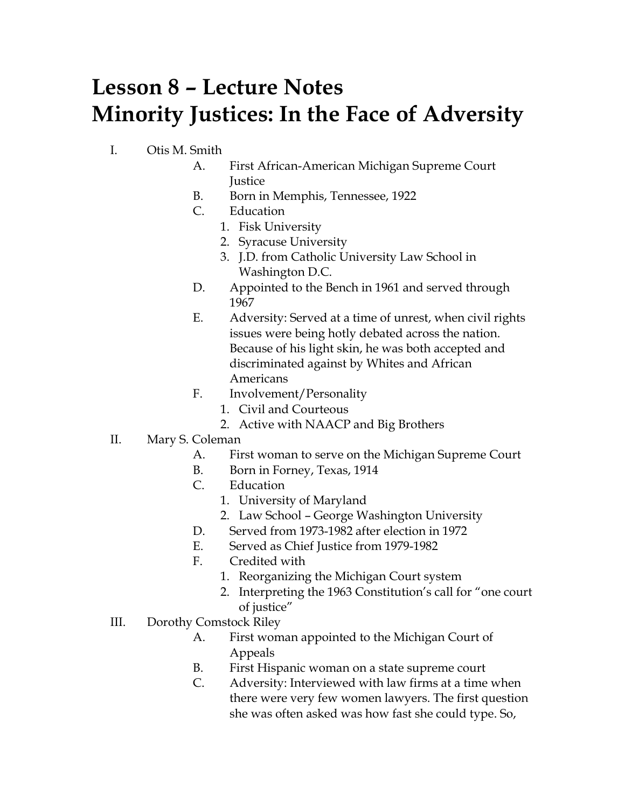## **Lesson 8 – Lecture Notes Minority Justices: In the Face of Adversity**

- I. Otis M. Smith
	- A. First African-American Michigan Supreme Court **Justice**
	- B. Born in Memphis, Tennessee, 1922
	- C. Education
		- 1. Fisk University
		- 2. Syracuse University
		- 3. J.D. from Catholic University Law School in Washington D.C.
	- D. Appointed to the Bench in 1961 and served through 1967
	- E. Adversity: Served at a time of unrest, when civil rights issues were being hotly debated across the nation. Because of his light skin, he was both accepted and discriminated against by Whites and African Americans
	- F. Involvement/Personality
		- 1. Civil and Courteous
		- 2. Active with NAACP and Big Brothers
- II. Mary S. Coleman
	- A. First woman to serve on the Michigan Supreme Court
	- B. Born in Forney, Texas, 1914
	- C. Education
		- 1. University of Maryland
		- 2. Law School George Washington University
	- D. Served from 1973-1982 after election in 1972
	- E. Served as Chief Justice from 1979-1982
	- F. Credited with
		- 1. Reorganizing the Michigan Court system
		- 2. Interpreting the 1963 Constitution's call for "one court of justice"
- III. Dorothy Comstock Riley
	- A. First woman appointed to the Michigan Court of Appeals
	- B. First Hispanic woman on a state supreme court
	- C. Adversity: Interviewed with law firms at a time when there were very few women lawyers. The first question she was often asked was how fast she could type. So,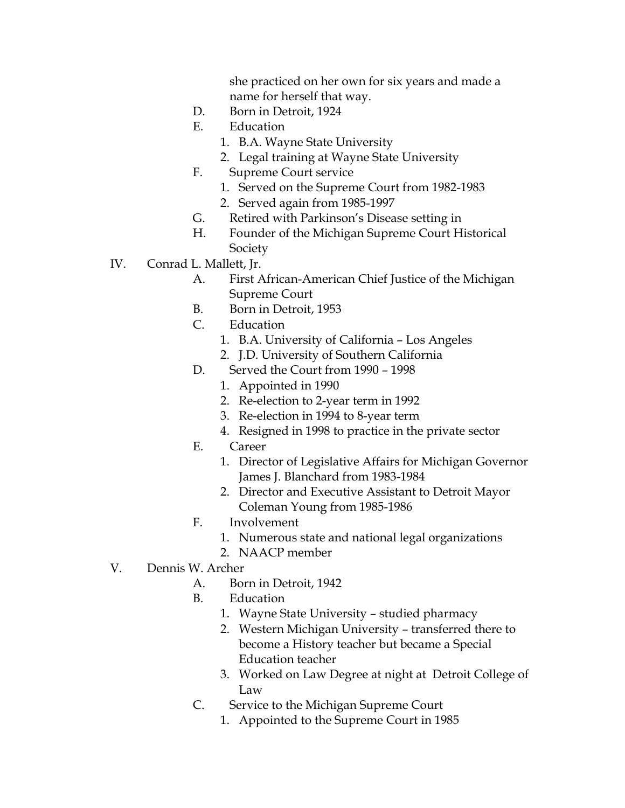she practiced on her own for six years and made a name for herself that way.

- D. Born in Detroit, 1924
- E. Education
	- 1. B.A. Wayne State University
	- 2. Legal training at Wayne State University
- F. Supreme Court service
	- 1. Served on the Supreme Court from 1982-1983
	- 2. Served again from 1985-1997
- G. Retired with Parkinson's Disease setting in
- H. Founder of the Michigan Supreme Court Historical Society
- IV. Conrad L. Mallett, Jr.
	- A. First African-American Chief Justice of the Michigan Supreme Court
	- B. Born in Detroit, 1953
	- C. Education
		- 1. B.A. University of California Los Angeles
		- 2. J.D. University of Southern California
	- D. Served the Court from 1990 1998
		- 1. Appointed in 1990
		- 2. Re-election to 2-year term in 1992
		- 3. Re-election in 1994 to 8-year term
		- 4. Resigned in 1998 to practice in the private sector
	- E. Career
		- 1. Director of Legislative Affairs for Michigan Governor James J. Blanchard from 1983-1984
		- 2. Director and Executive Assistant to Detroit Mayor Coleman Young from 1985-1986
	- F. Involvement
		- 1. Numerous state and national legal organizations
		- 2. NAACP member
- V. Dennis W. Archer
	- A. Born in Detroit, 1942
	- B. Education
		- 1. Wayne State University studied pharmacy
		- 2. Western Michigan University transferred there to become a History teacher but became a Special Education teacher
		- 3. Worked on Law Degree at night at Detroit College of Law
	- C. Service to the Michigan Supreme Court
		- 1. Appointed to the Supreme Court in 1985